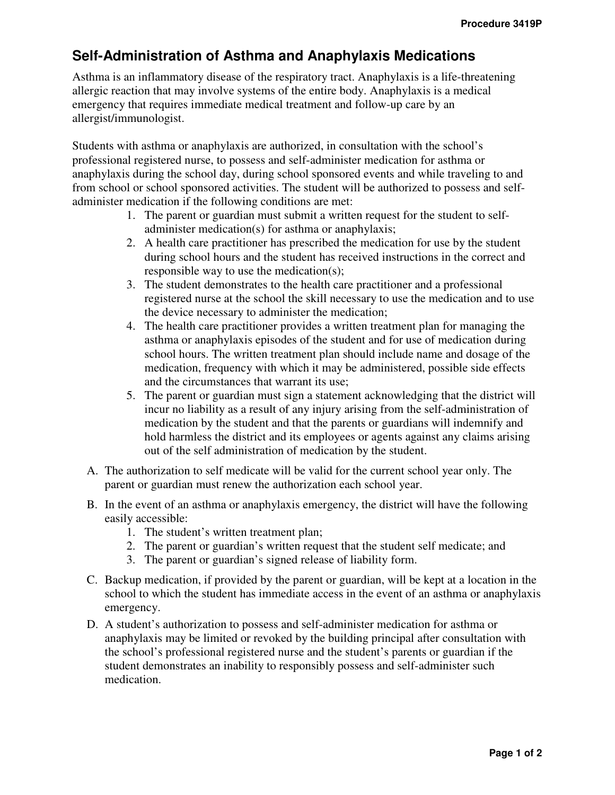## **Self-Administration of Asthma and Anaphylaxis Medications**

Asthma is an inflammatory disease of the respiratory tract. Anaphylaxis is a life-threatening allergic reaction that may involve systems of the entire body. Anaphylaxis is a medical emergency that requires immediate medical treatment and follow-up care by an allergist/immunologist.

Students with asthma or anaphylaxis are authorized, in consultation with the school's professional registered nurse, to possess and self-administer medication for asthma or anaphylaxis during the school day, during school sponsored events and while traveling to and from school or school sponsored activities. The student will be authorized to possess and selfadminister medication if the following conditions are met:

- 1. The parent or guardian must submit a written request for the student to selfadminister medication(s) for asthma or anaphylaxis;
- 2. A health care practitioner has prescribed the medication for use by the student during school hours and the student has received instructions in the correct and responsible way to use the medication(s);
- 3. The student demonstrates to the health care practitioner and a professional registered nurse at the school the skill necessary to use the medication and to use the device necessary to administer the medication;
- 4. The health care practitioner provides a written treatment plan for managing the asthma or anaphylaxis episodes of the student and for use of medication during school hours. The written treatment plan should include name and dosage of the medication, frequency with which it may be administered, possible side effects and the circumstances that warrant its use;
- 5. The parent or guardian must sign a statement acknowledging that the district will incur no liability as a result of any injury arising from the self-administration of medication by the student and that the parents or guardians will indemnify and hold harmless the district and its employees or agents against any claims arising out of the self administration of medication by the student.
- A. The authorization to self medicate will be valid for the current school year only. The parent or guardian must renew the authorization each school year.
- B. In the event of an asthma or anaphylaxis emergency, the district will have the following easily accessible:
	- 1. The student's written treatment plan;
	- 2. The parent or guardian's written request that the student self medicate; and
	- 3. The parent or guardian's signed release of liability form.
- C. Backup medication, if provided by the parent or guardian, will be kept at a location in the school to which the student has immediate access in the event of an asthma or anaphylaxis emergency.
- D. A student's authorization to possess and self-administer medication for asthma or anaphylaxis may be limited or revoked by the building principal after consultation with the school's professional registered nurse and the student's parents or guardian if the student demonstrates an inability to responsibly possess and self-administer such medication.